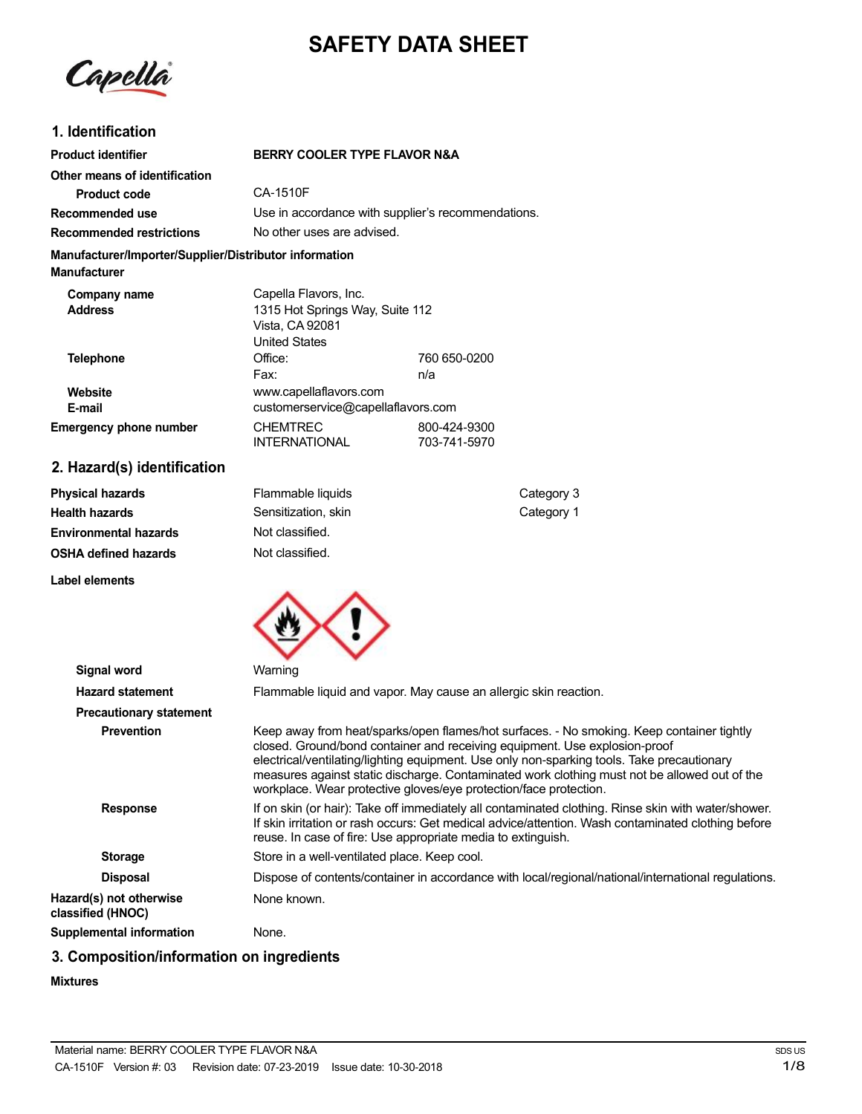# **SAFETY DATA SHEET**

Capella

### **1. Identification**

**Environmental hazards OSHA defined hazards**

**Label elements**

| <b>Product identifier</b>                                                     | <b>BERRY COOLER TYPE FLAVOR N&amp;A</b>                                                             |                              |            |
|-------------------------------------------------------------------------------|-----------------------------------------------------------------------------------------------------|------------------------------|------------|
| Other means of identification                                                 |                                                                                                     |                              |            |
| <b>Product code</b>                                                           | CA-1510F                                                                                            |                              |            |
| Recommended use                                                               | Use in accordance with supplier's recommendations.                                                  |                              |            |
| <b>Recommended restrictions</b>                                               | No other uses are advised.                                                                          |                              |            |
| Manufacturer/Importer/Supplier/Distributor information<br><b>Manufacturer</b> |                                                                                                     |                              |            |
| Company name<br><b>Address</b>                                                | Capella Flavors, Inc.<br>1315 Hot Springs Way, Suite 112<br>Vista, CA 92081<br><b>United States</b> |                              |            |
| <b>Telephone</b>                                                              | Office:<br>Fax:                                                                                     | 760 650-0200<br>n/a          |            |
| Website<br>E-mail                                                             | www.capellaflavors.com<br>customerservice@capellaflavors.com                                        |                              |            |
| <b>Emergency phone number</b>                                                 | <b>CHEMTREC</b><br><b>INTERNATIONAL</b>                                                             | 800-424-9300<br>703-741-5970 |            |
| 2. Hazard(s) identification                                                   |                                                                                                     |                              |            |
| <b>Physical hazards</b>                                                       | Flammable liquids                                                                                   |                              | Category 3 |
| <b>Health hazards</b>                                                         | Sensitization, skin                                                                                 |                              | Category 1 |



Not classified. Not classified.

| <b>Signal word</b><br>Warning                               |                                                                                                                                                                                                                                                                                                                                                                                                                                            |  |
|-------------------------------------------------------------|--------------------------------------------------------------------------------------------------------------------------------------------------------------------------------------------------------------------------------------------------------------------------------------------------------------------------------------------------------------------------------------------------------------------------------------------|--|
| <b>Hazard statement</b>                                     | Flammable liquid and vapor. May cause an allergic skin reaction.                                                                                                                                                                                                                                                                                                                                                                           |  |
| <b>Precautionary statement</b>                              |                                                                                                                                                                                                                                                                                                                                                                                                                                            |  |
| <b>Prevention</b>                                           | Keep away from heat/sparks/open flames/hot surfaces. - No smoking. Keep container tightly<br>closed. Ground/bond container and receiving equipment. Use explosion-proof<br>electrical/ventilating/lighting equipment. Use only non-sparking tools. Take precautionary<br>measures against static discharge. Contaminated work clothing must not be allowed out of the<br>workplace. Wear protective gloves/eye protection/face protection. |  |
| <b>Response</b>                                             | If on skin (or hair): Take off immediately all contaminated clothing. Rinse skin with water/shower.<br>If skin irritation or rash occurs: Get medical advice/attention. Wash contaminated clothing before<br>reuse. In case of fire: Use appropriate media to extinguish.                                                                                                                                                                  |  |
| <b>Storage</b>                                              | Store in a well-ventilated place. Keep cool.                                                                                                                                                                                                                                                                                                                                                                                               |  |
| <b>Disposal</b>                                             | Dispose of contents/container in accordance with local/regional/national/international regulations.                                                                                                                                                                                                                                                                                                                                        |  |
| Hazard(s) not otherwise<br>None known.<br>classified (HNOC) |                                                                                                                                                                                                                                                                                                                                                                                                                                            |  |
| Supplemental information<br>None.                           |                                                                                                                                                                                                                                                                                                                                                                                                                                            |  |

# **3. Composition/information on ingredients**

### **Mixtures**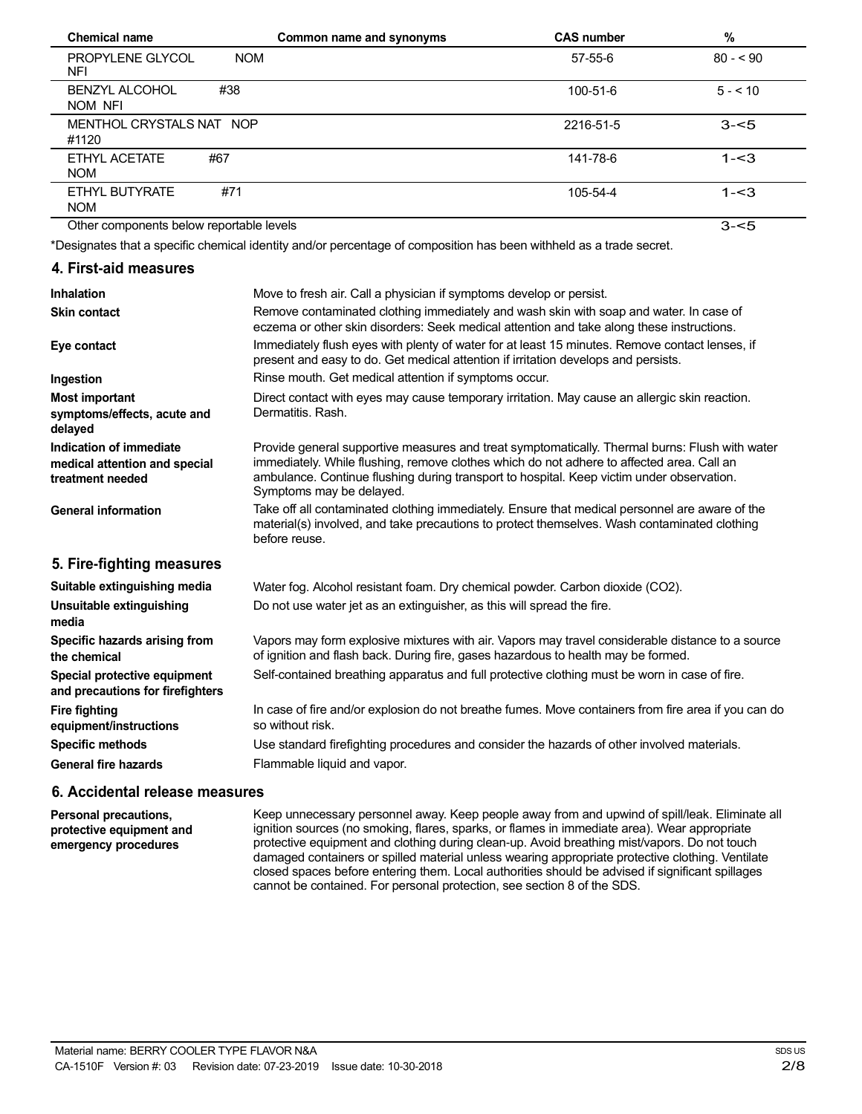| <b>Chemical name</b>                     | Common name and synonyms | <b>CAS number</b> | %         |
|------------------------------------------|--------------------------|-------------------|-----------|
| PROPYLENE GLYCOL<br><b>NOM</b><br>NFI    |                          | $57 - 55 - 6$     | $80 - 90$ |
| #38<br><b>BENZYL ALCOHOL</b><br>NOM NFI  |                          | 100-51-6          | $5 - 10$  |
| MENTHOL CRYSTALS NAT NOP<br>#1120        |                          | 2216-51-5         | $3 - 5$   |
| #67<br>ETHYL ACETATE<br><b>NOM</b>       |                          | 141-78-6          | $1 - 3$   |
| #71<br>ETHYL BUTYRATE<br><b>NOM</b>      |                          | 105-54-4          | $1 - 3$   |
| Other components below reportable levels |                          |                   | $3 - 5$   |

\*Designates that a specific chemical identity and/or percentage of composition has been withheld as a trade secret.

### **4. First-aid measures**

| Inhalation                                                                   | Move to fresh air. Call a physician if symptoms develop or persist.                                                                                                                                                                                                                                                  |
|------------------------------------------------------------------------------|----------------------------------------------------------------------------------------------------------------------------------------------------------------------------------------------------------------------------------------------------------------------------------------------------------------------|
| <b>Skin contact</b>                                                          | Remove contaminated clothing immediately and wash skin with soap and water. In case of<br>eczema or other skin disorders: Seek medical attention and take along these instructions.                                                                                                                                  |
| Eye contact                                                                  | Immediately flush eyes with plenty of water for at least 15 minutes. Remove contact lenses, if<br>present and easy to do. Get medical attention if irritation develops and persists.                                                                                                                                 |
| Ingestion                                                                    | Rinse mouth. Get medical attention if symptoms occur.                                                                                                                                                                                                                                                                |
| <b>Most important</b>                                                        | Direct contact with eyes may cause temporary irritation. May cause an allergic skin reaction.                                                                                                                                                                                                                        |
| symptoms/effects, acute and<br>delayed                                       | Dermatitis, Rash.                                                                                                                                                                                                                                                                                                    |
| Indication of immediate<br>medical attention and special<br>treatment needed | Provide general supportive measures and treat symptomatically. Thermal burns: Flush with water<br>immediately. While flushing, remove clothes which do not adhere to affected area. Call an<br>ambulance. Continue flushing during transport to hospital. Keep victim under observation.<br>Symptoms may be delayed. |
| <b>General information</b>                                                   | Take off all contaminated clothing immediately. Ensure that medical personnel are aware of the<br>material(s) involved, and take precautions to protect themselves. Wash contaminated clothing<br>before reuse.                                                                                                      |
| 5. Fire-fighting measures                                                    |                                                                                                                                                                                                                                                                                                                      |
| Suitable extinguishing media                                                 | Water fog. Alcohol resistant foam. Dry chemical powder. Carbon dioxide (CO2).                                                                                                                                                                                                                                        |
| Unsuitable extinguishing<br>media                                            | Do not use water jet as an extinguisher, as this will spread the fire.                                                                                                                                                                                                                                               |
| Specific hazards arising from<br>the chemical                                | Vapors may form explosive mixtures with air. Vapors may travel considerable distance to a source<br>of ignition and flash back. During fire, gases hazardous to health may be formed.                                                                                                                                |
| Special protective equipment<br>and precautions for firefighters             | Self-contained breathing apparatus and full protective clothing must be worn in case of fire.                                                                                                                                                                                                                        |
| <b>Fire fighting</b><br>equipment/instructions                               | In case of fire and/or explosion do not breathe fumes. Move containers from fire area if you can do<br>so without risk.                                                                                                                                                                                              |
| <b>Specific methods</b>                                                      | Use standard firefighting procedures and consider the hazards of other involved materials.                                                                                                                                                                                                                           |
| <b>General fire hazards</b>                                                  | Flammable liquid and vapor.                                                                                                                                                                                                                                                                                          |

### **6. Accidental release measures**

**Personal precautions, protective equipment and emergency procedures**

Keep unnecessary personnel away. Keep people away from and upwind of spill/leak. Eliminate all ignition sources (no smoking, flares, sparks, or flames in immediate area). Wear appropriate protective equipment and clothing during clean-up. Avoid breathing mist/vapors. Do not touch damaged containers or spilled material unless wearing appropriate protective clothing. Ventilate closed spaces before entering them. Local authorities should be advised if significant spillages cannot be contained. For personal protection, see section 8 of the SDS.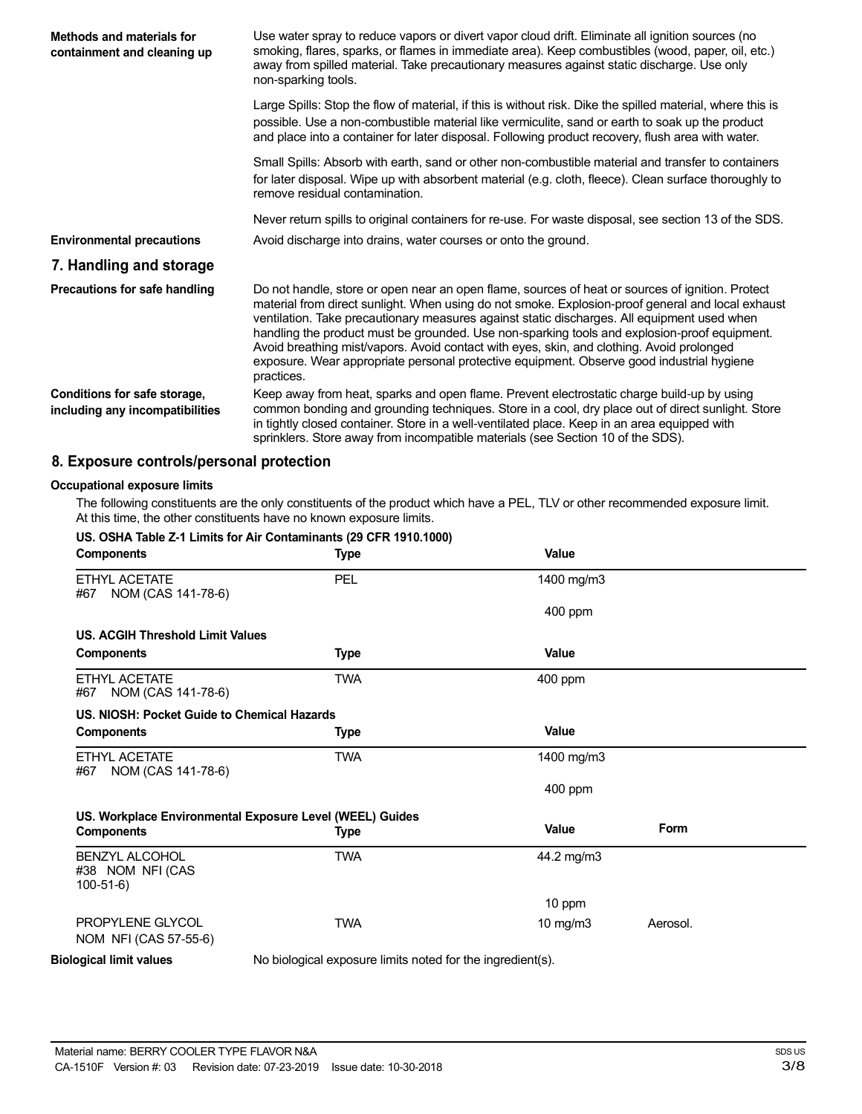| Methods and materials for<br>containment and cleaning up        | Use water spray to reduce vapors or divert vapor cloud drift. Eliminate all ignition sources (no<br>smoking, flares, sparks, or flames in immediate area). Keep combustibles (wood, paper, oil, etc.)<br>away from spilled material. Take precautionary measures against static discharge. Use only<br>non-sparking tools.                                                                                                                                                                                                                                                                                   |
|-----------------------------------------------------------------|--------------------------------------------------------------------------------------------------------------------------------------------------------------------------------------------------------------------------------------------------------------------------------------------------------------------------------------------------------------------------------------------------------------------------------------------------------------------------------------------------------------------------------------------------------------------------------------------------------------|
|                                                                 | Large Spills: Stop the flow of material, if this is without risk. Dike the spilled material, where this is<br>possible. Use a non-combustible material like vermiculite, sand or earth to soak up the product<br>and place into a container for later disposal. Following product recovery, flush area with water.                                                                                                                                                                                                                                                                                           |
|                                                                 | Small Spills: Absorb with earth, sand or other non-combustible material and transfer to containers<br>for later disposal. Wipe up with absorbent material (e.g. cloth, fleece). Clean surface thoroughly to<br>remove residual contamination.                                                                                                                                                                                                                                                                                                                                                                |
|                                                                 | Never return spills to original containers for re-use. For waste disposal, see section 13 of the SDS.                                                                                                                                                                                                                                                                                                                                                                                                                                                                                                        |
| <b>Environmental precautions</b>                                | Avoid discharge into drains, water courses or onto the ground.                                                                                                                                                                                                                                                                                                                                                                                                                                                                                                                                               |
| 7. Handling and storage                                         |                                                                                                                                                                                                                                                                                                                                                                                                                                                                                                                                                                                                              |
| Precautions for safe handling                                   | Do not handle, store or open near an open flame, sources of heat or sources of ignition. Protect<br>material from direct sunlight. When using do not smoke. Explosion-proof general and local exhaust<br>ventilation. Take precautionary measures against static discharges. All equipment used when<br>handling the product must be grounded. Use non-sparking tools and explosion-proof equipment.<br>Avoid breathing mist/vapors. Avoid contact with eyes, skin, and clothing. Avoid prolonged<br>exposure. Wear appropriate personal protective equipment. Observe good industrial hygiene<br>practices. |
| Conditions for safe storage,<br>including any incompatibilities | Keep away from heat, sparks and open flame. Prevent electrostatic charge build-up by using<br>common bonding and grounding techniques. Store in a cool, dry place out of direct sunlight. Store<br>in tightly closed container. Store in a well-ventilated place. Keep in an area equipped with<br>sprinklers. Store away from incompatible materials (see Section 10 of the SDS).                                                                                                                                                                                                                           |

# **8. Exposure controls/personal protection**

### **Occupational exposure limits**

The following constituents are the only constituents of the product which have a PEL, TLV or other recommended exposure limit. At this time, the other constituents have no known exposure limits.

| <b>Components</b>                                       | <b>Type</b>                                                | <b>Value</b> |             |  |
|---------------------------------------------------------|------------------------------------------------------------|--------------|-------------|--|
| ETHYL ACETATE<br>NOM (CAS 141-78-6)<br>#67              | <b>PEL</b>                                                 | 1400 mg/m3   |             |  |
|                                                         |                                                            | 400 ppm      |             |  |
| <b>US. ACGIH Threshold Limit Values</b>                 |                                                            |              |             |  |
| <b>Components</b>                                       | <b>Type</b>                                                | Value        |             |  |
| FTHYI ACFTATF<br>NOM (CAS 141-78-6)<br>#67              | <b>TWA</b>                                                 | 400 ppm      |             |  |
| US. NIOSH: Pocket Guide to Chemical Hazards             |                                                            |              |             |  |
| <b>Components</b>                                       | Type                                                       | <b>Value</b> |             |  |
| <b>ETHYL ACETATE</b><br>NOM (CAS 141-78-6)<br>#67       | <b>TWA</b>                                                 | 1400 mg/m3   |             |  |
|                                                         |                                                            | 400 ppm      |             |  |
|                                                         | US. Workplace Environmental Exposure Level (WEEL) Guides   |              |             |  |
| <b>Components</b>                                       | Type                                                       | Value        | <b>Form</b> |  |
| <b>BENZYL ALCOHOL</b><br>#38 NOM NFI (CAS<br>$100-51-6$ | <b>TWA</b>                                                 | 44.2 mg/m3   |             |  |
|                                                         |                                                            | 10 ppm       |             |  |
| PROPYLENE GLYCOL<br>NOM NFI (CAS 57-55-6)               | <b>TWA</b>                                                 | 10 mg/m3     | Aerosol.    |  |
|                                                         |                                                            |              |             |  |
| <b>Biological limit values</b>                          | No biological exposure limits noted for the ingredient(s). |              |             |  |

#### **US. OSHA Table Z-1 Limits for Air Contaminants (29 CFR 1910.1000)**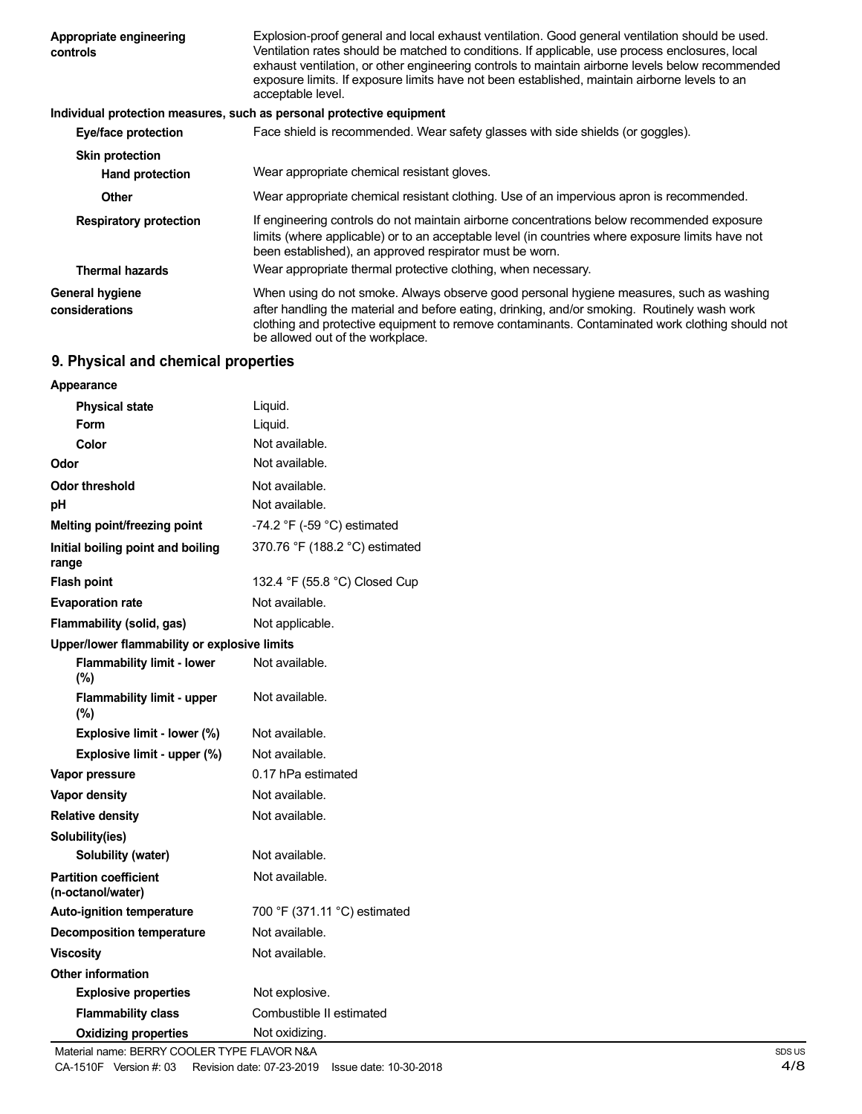| Appropriate engineering<br>controls | Explosion-proof general and local exhaust ventilation. Good general ventilation should be used.<br>Ventilation rates should be matched to conditions. If applicable, use process enclosures, local<br>exhaust ventilation, or other engineering controls to maintain airborne levels below recommended<br>exposure limits. If exposure limits have not been established, maintain airborne levels to an<br>acceptable level. |
|-------------------------------------|------------------------------------------------------------------------------------------------------------------------------------------------------------------------------------------------------------------------------------------------------------------------------------------------------------------------------------------------------------------------------------------------------------------------------|
|                                     | Individual protection measures, such as personal protective equipment                                                                                                                                                                                                                                                                                                                                                        |
| Eye/face protection                 | Face shield is recommended. Wear safety glasses with side shields (or goggles).                                                                                                                                                                                                                                                                                                                                              |
| <b>Skin protection</b>              |                                                                                                                                                                                                                                                                                                                                                                                                                              |
| <b>Hand protection</b>              | Wear appropriate chemical resistant gloves.                                                                                                                                                                                                                                                                                                                                                                                  |
| <b>Other</b>                        | Wear appropriate chemical resistant clothing. Use of an impervious apron is recommended.                                                                                                                                                                                                                                                                                                                                     |
| <b>Respiratory protection</b>       | If engineering controls do not maintain airborne concentrations below recommended exposure<br>limits (where applicable) or to an acceptable level (in countries where exposure limits have not<br>been established), an approved respirator must be worn.                                                                                                                                                                    |
| <b>Thermal hazards</b>              | Wear appropriate thermal protective clothing, when necessary.                                                                                                                                                                                                                                                                                                                                                                |
| General hygiene                     | When using do not smoke. Always observe good personal hygiene measures, such as washing                                                                                                                                                                                                                                                                                                                                      |
| considerations                      | after handling the material and before eating, drinking, and/or smoking. Routinely wash work<br>clothing and protective equipment to remove contaminants. Contaminated work clothing should not<br>be allowed out of the workplace.                                                                                                                                                                                          |

# **9. Physical and chemical properties**

| Appearance                                        |                                               |
|---------------------------------------------------|-----------------------------------------------|
| <b>Physical state</b>                             | Liquid.                                       |
| Form                                              | Liquid.                                       |
| Color                                             | Not available.                                |
| Odor                                              | Not available.                                |
| <b>Odor threshold</b>                             | Not available.                                |
| рH                                                | Not available.                                |
| Melting point/freezing point                      | -74.2 $\degree$ F (-59 $\degree$ C) estimated |
| Initial boiling point and boiling<br>range        | 370.76 °F (188.2 °C) estimated                |
| <b>Flash point</b>                                | 132.4 °F (55.8 °C) Closed Cup                 |
| <b>Evaporation rate</b>                           | Not available.                                |
| Flammability (solid, gas)                         | Not applicable.                               |
| Upper/lower flammability or explosive limits      |                                               |
| <b>Flammability limit - lower</b><br>(%)          | Not available.                                |
| <b>Flammability limit - upper</b><br>$(\%)$       | Not available.                                |
| Explosive limit - lower (%)                       | Not available.                                |
| Explosive limit - upper (%)                       | Not available.                                |
| Vapor pressure                                    | 0.17 hPa estimated                            |
| Vapor density                                     | Not available.                                |
| <b>Relative density</b>                           | Not available.                                |
| Solubility(ies)                                   |                                               |
| Solubility (water)                                | Not available.                                |
| <b>Partition coefficient</b><br>(n-octanol/water) | Not available.                                |
| <b>Auto-ignition temperature</b>                  | 700 °F (371.11 °C) estimated                  |
| <b>Decomposition temperature</b>                  | Not available.                                |
| <b>Viscosity</b>                                  | Not available.                                |
| <b>Other information</b>                          |                                               |
| <b>Explosive properties</b>                       | Not explosive.                                |
| <b>Flammability class</b>                         | Combustible II estimated                      |
| <b>Oxidizing properties</b>                       | Not oxidizing.                                |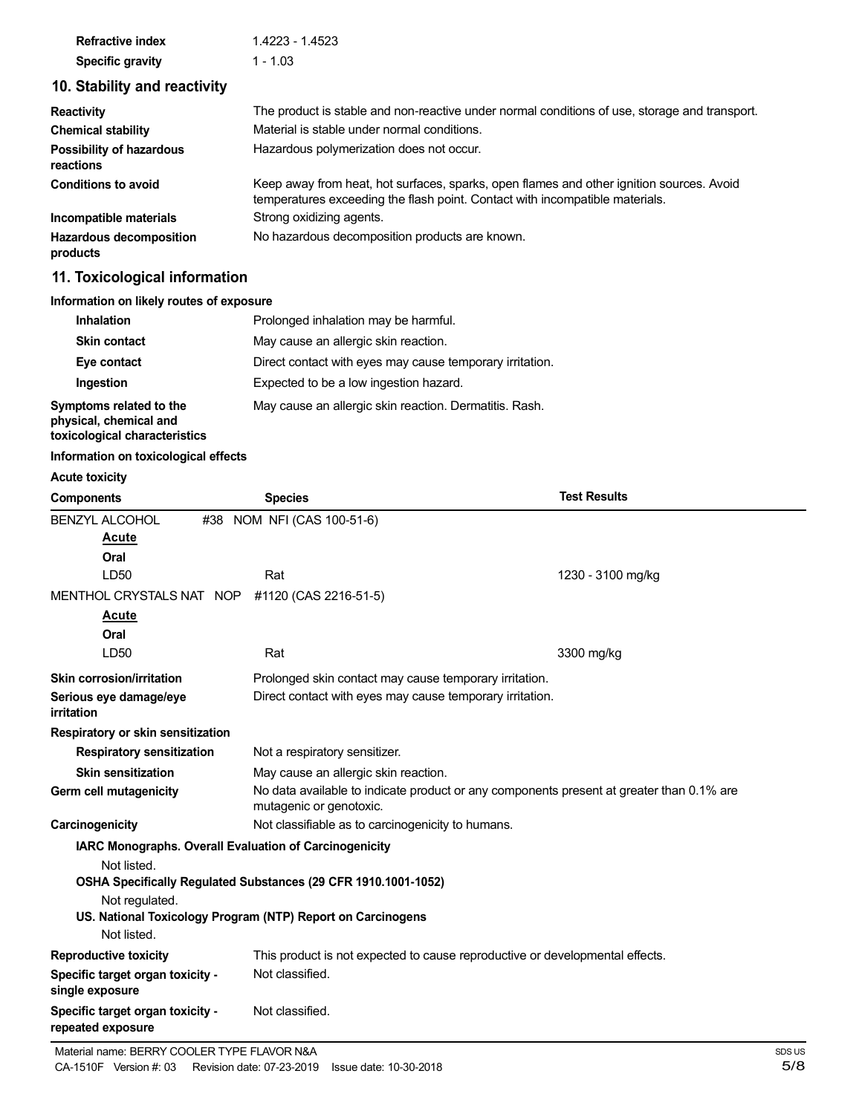| <b>Refractive index</b> | 1.4223 - 1.4523 |
|-------------------------|-----------------|
| <b>Specific gravity</b> | $1 - 1.03$      |

# **10. Stability and reactivity**

| <b>Reactivity</b>                            | The product is stable and non-reactive under normal conditions of use, storage and transport.                                                                            |
|----------------------------------------------|--------------------------------------------------------------------------------------------------------------------------------------------------------------------------|
| <b>Chemical stability</b>                    | Material is stable under normal conditions.                                                                                                                              |
| <b>Possibility of hazardous</b><br>reactions | Hazardous polymerization does not occur.                                                                                                                                 |
| <b>Conditions to avoid</b>                   | Keep away from heat, hot surfaces, sparks, open flames and other ignition sources. Avoid<br>temperatures exceeding the flash point. Contact with incompatible materials. |
| Incompatible materials                       | Strong oxidizing agents.                                                                                                                                                 |
| <b>Hazardous decomposition</b><br>products   | No hazardous decomposition products are known.                                                                                                                           |

# **11. Toxicological information**

### **Information on likely routes of exposure**

| <b>Inhalation</b>                                      | Prolonged inhalation may be harmful.                     |
|--------------------------------------------------------|----------------------------------------------------------|
| <b>Skin contact</b>                                    | May cause an allergic skin reaction.                     |
| Eye contact                                            | Direct contact with eyes may cause temporary irritation. |
| Ingestion                                              | Expected to be a low ingestion hazard.                   |
| Symptoms related to the<br>physical, chemical and<br>. | May cause an allergic skin reaction. Dermatitis. Rash.   |

**physical, chemical and toxicological characteristics**

### **Information on toxicological effects**

### **Acute toxicity**

| <b>Components</b>                                             | <b>Species</b>                                                               | <b>Test Results</b>                                                                      |  |
|---------------------------------------------------------------|------------------------------------------------------------------------------|------------------------------------------------------------------------------------------|--|
| <b>BENZYL ALCOHOL</b>                                         | #38 NOM NFI (CAS 100-51-6)                                                   |                                                                                          |  |
| Acute                                                         |                                                                              |                                                                                          |  |
| Oral                                                          |                                                                              |                                                                                          |  |
| LD50                                                          | Rat                                                                          | 1230 - 3100 mg/kg                                                                        |  |
| MENTHOL CRYSTALS NAT NOP                                      | #1120 (CAS 2216-51-5)                                                        |                                                                                          |  |
| Acute                                                         |                                                                              |                                                                                          |  |
| Oral                                                          |                                                                              |                                                                                          |  |
| LD50                                                          | Rat                                                                          | 3300 mg/kg                                                                               |  |
| Skin corrosion/irritation                                     | Prolonged skin contact may cause temporary irritation.                       |                                                                                          |  |
| Serious eye damage/eye                                        | Direct contact with eyes may cause temporary irritation.                     |                                                                                          |  |
| irritation                                                    |                                                                              |                                                                                          |  |
| Respiratory or skin sensitization                             |                                                                              |                                                                                          |  |
| <b>Respiratory sensitization</b>                              | Not a respiratory sensitizer.                                                |                                                                                          |  |
| <b>Skin sensitization</b>                                     |                                                                              | May cause an allergic skin reaction.                                                     |  |
| Germ cell mutagenicity                                        | mutagenic or genotoxic.                                                      | No data available to indicate product or any components present at greater than 0.1% are |  |
| Carcinogenicity                                               |                                                                              | Not classifiable as to carcinogenicity to humans.                                        |  |
| <b>IARC Monographs. Overall Evaluation of Carcinogenicity</b> |                                                                              |                                                                                          |  |
| Not listed.                                                   |                                                                              |                                                                                          |  |
|                                                               | OSHA Specifically Regulated Substances (29 CFR 1910.1001-1052)               |                                                                                          |  |
| Not regulated.                                                |                                                                              |                                                                                          |  |
|                                                               | US. National Toxicology Program (NTP) Report on Carcinogens                  |                                                                                          |  |
| Not listed.                                                   |                                                                              |                                                                                          |  |
| <b>Reproductive toxicity</b>                                  | This product is not expected to cause reproductive or developmental effects. |                                                                                          |  |
| Specific target organ toxicity -<br>single exposure           | Not classified.                                                              |                                                                                          |  |
| Specific target organ toxicity -<br>repeated exposure         | Not classified.                                                              |                                                                                          |  |
|                                                               |                                                                              |                                                                                          |  |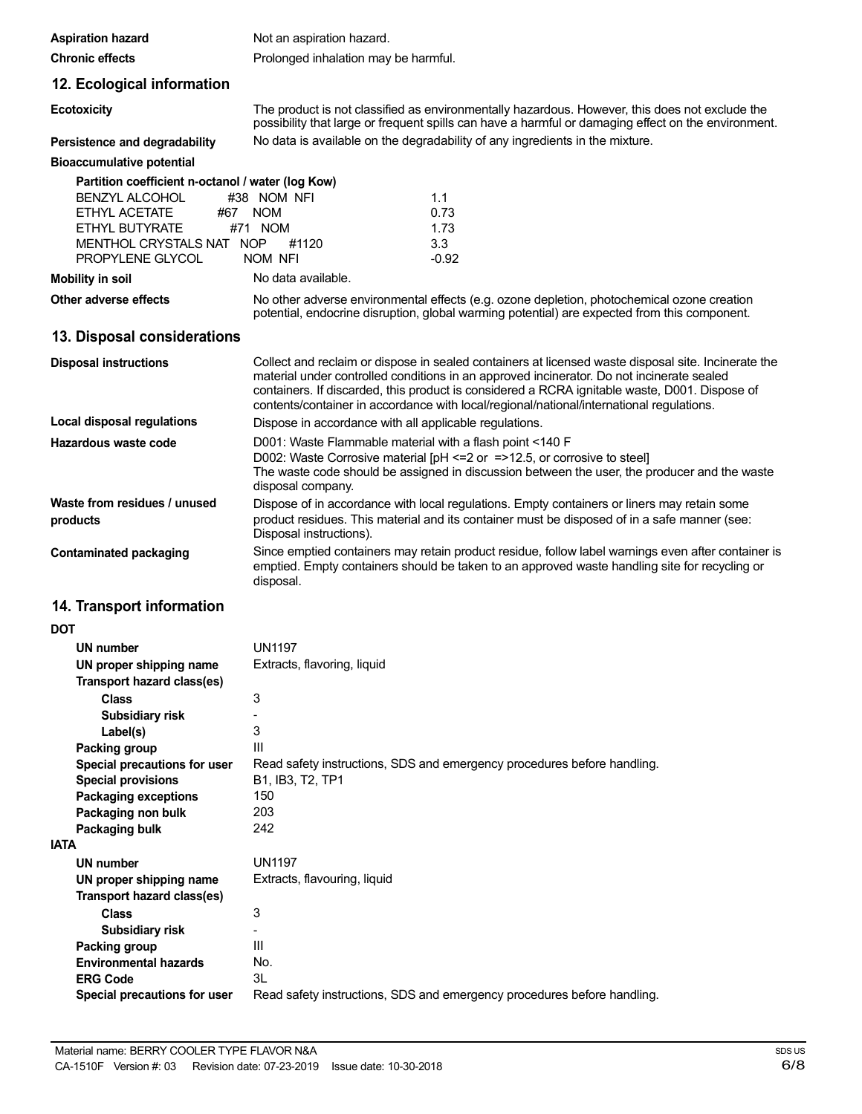| <b>Aspiration hazard</b>                                                                                 | Not an aspiration hazard.                                                                                                                                                                                                                                                                                                                                                                     |  |  |
|----------------------------------------------------------------------------------------------------------|-----------------------------------------------------------------------------------------------------------------------------------------------------------------------------------------------------------------------------------------------------------------------------------------------------------------------------------------------------------------------------------------------|--|--|
| <b>Chronic effects</b>                                                                                   | Prolonged inhalation may be harmful.                                                                                                                                                                                                                                                                                                                                                          |  |  |
| 12. Ecological information                                                                               |                                                                                                                                                                                                                                                                                                                                                                                               |  |  |
| <b>Ecotoxicity</b>                                                                                       | The product is not classified as environmentally hazardous. However, this does not exclude the<br>possibility that large or frequent spills can have a harmful or damaging effect on the environment.                                                                                                                                                                                         |  |  |
| Persistence and degradability                                                                            | No data is available on the degradability of any ingredients in the mixture.                                                                                                                                                                                                                                                                                                                  |  |  |
| <b>Bioaccumulative potential</b>                                                                         |                                                                                                                                                                                                                                                                                                                                                                                               |  |  |
| Partition coefficient n-octanol / water (log Kow)                                                        |                                                                                                                                                                                                                                                                                                                                                                                               |  |  |
| BENZYL ALCOHOL<br>ETHYL ACETATE<br>#67<br>ETHYL BUTYRATE<br>MENTHOL CRYSTALS NAT NOP<br>PROPYLENE GLYCOL | 1.1<br>#38 NOM NFI<br>0.73<br><b>NOM</b><br>#71 NOM<br>1.73<br>#1120<br>3.3<br>NOM NFI<br>$-0.92$                                                                                                                                                                                                                                                                                             |  |  |
| <b>Mobility in soil</b>                                                                                  | No data available.                                                                                                                                                                                                                                                                                                                                                                            |  |  |
| Other adverse effects                                                                                    | No other adverse environmental effects (e.g. ozone depletion, photochemical ozone creation<br>potential, endocrine disruption, global warming potential) are expected from this component.                                                                                                                                                                                                    |  |  |
| 13. Disposal considerations                                                                              |                                                                                                                                                                                                                                                                                                                                                                                               |  |  |
| <b>Disposal instructions</b>                                                                             | Collect and reclaim or dispose in sealed containers at licensed waste disposal site. Incinerate the<br>material under controlled conditions in an approved incinerator. Do not incinerate sealed<br>containers. If discarded, this product is considered a RCRA ignitable waste, D001. Dispose of<br>contents/container in accordance with local/regional/national/international regulations. |  |  |
| Local disposal regulations                                                                               | Dispose in accordance with all applicable regulations.                                                                                                                                                                                                                                                                                                                                        |  |  |
| Hazardous waste code                                                                                     | D001: Waste Flammable material with a flash point <140 F<br>D002: Waste Corrosive material [pH <= 2 or = > 12.5, or corrosive to steel]<br>The waste code should be assigned in discussion between the user, the producer and the waste<br>disposal company.                                                                                                                                  |  |  |
| Waste from residues / unused<br>products                                                                 | Dispose of in accordance with local regulations. Empty containers or liners may retain some<br>product residues. This material and its container must be disposed of in a safe manner (see:<br>Disposal instructions).                                                                                                                                                                        |  |  |
| <b>Contaminated packaging</b>                                                                            | Since emptied containers may retain product residue, follow label warnings even after container is<br>emptied. Empty containers should be taken to an approved waste handling site for recycling or<br>disposal.                                                                                                                                                                              |  |  |
| 14. Transport information                                                                                |                                                                                                                                                                                                                                                                                                                                                                                               |  |  |
| <b>DOT</b>                                                                                               |                                                                                                                                                                                                                                                                                                                                                                                               |  |  |
| UN number                                                                                                | <b>UN1197</b>                                                                                                                                                                                                                                                                                                                                                                                 |  |  |
| UN proper shipping name                                                                                  | Extracts, flavoring, liquid                                                                                                                                                                                                                                                                                                                                                                   |  |  |
| Transport hazard class(es)<br><b>Class</b>                                                               | 3                                                                                                                                                                                                                                                                                                                                                                                             |  |  |
| <b>Subsidiary risk</b>                                                                                   |                                                                                                                                                                                                                                                                                                                                                                                               |  |  |
| Label(s)                                                                                                 | 3                                                                                                                                                                                                                                                                                                                                                                                             |  |  |
| <b>Packing group</b>                                                                                     | III                                                                                                                                                                                                                                                                                                                                                                                           |  |  |
| Special precautions for user                                                                             | Read safety instructions, SDS and emergency procedures before handling.                                                                                                                                                                                                                                                                                                                       |  |  |
| <b>Special provisions</b><br><b>Packaging exceptions</b>                                                 | B1, IB3, T2, TP1<br>150                                                                                                                                                                                                                                                                                                                                                                       |  |  |
| Packaging non bulk                                                                                       | 203                                                                                                                                                                                                                                                                                                                                                                                           |  |  |
| Packaging bulk                                                                                           | 242                                                                                                                                                                                                                                                                                                                                                                                           |  |  |
| <b>IATA</b>                                                                                              |                                                                                                                                                                                                                                                                                                                                                                                               |  |  |
| <b>UN number</b><br>UN proper shipping name<br>Transport hazard class(es)                                | <b>UN1197</b><br>Extracts, flavouring, liquid                                                                                                                                                                                                                                                                                                                                                 |  |  |
| <b>Class</b>                                                                                             | 3                                                                                                                                                                                                                                                                                                                                                                                             |  |  |
| Subsidiary risk                                                                                          | ÷,                                                                                                                                                                                                                                                                                                                                                                                            |  |  |
| Packing group<br><b>Environmental hazards</b>                                                            | III<br>No.                                                                                                                                                                                                                                                                                                                                                                                    |  |  |
| <b>ERG Code</b>                                                                                          | 3L                                                                                                                                                                                                                                                                                                                                                                                            |  |  |
| Special precautions for user                                                                             | Read safety instructions, SDS and emergency procedures before handling.                                                                                                                                                                                                                                                                                                                       |  |  |
|                                                                                                          |                                                                                                                                                                                                                                                                                                                                                                                               |  |  |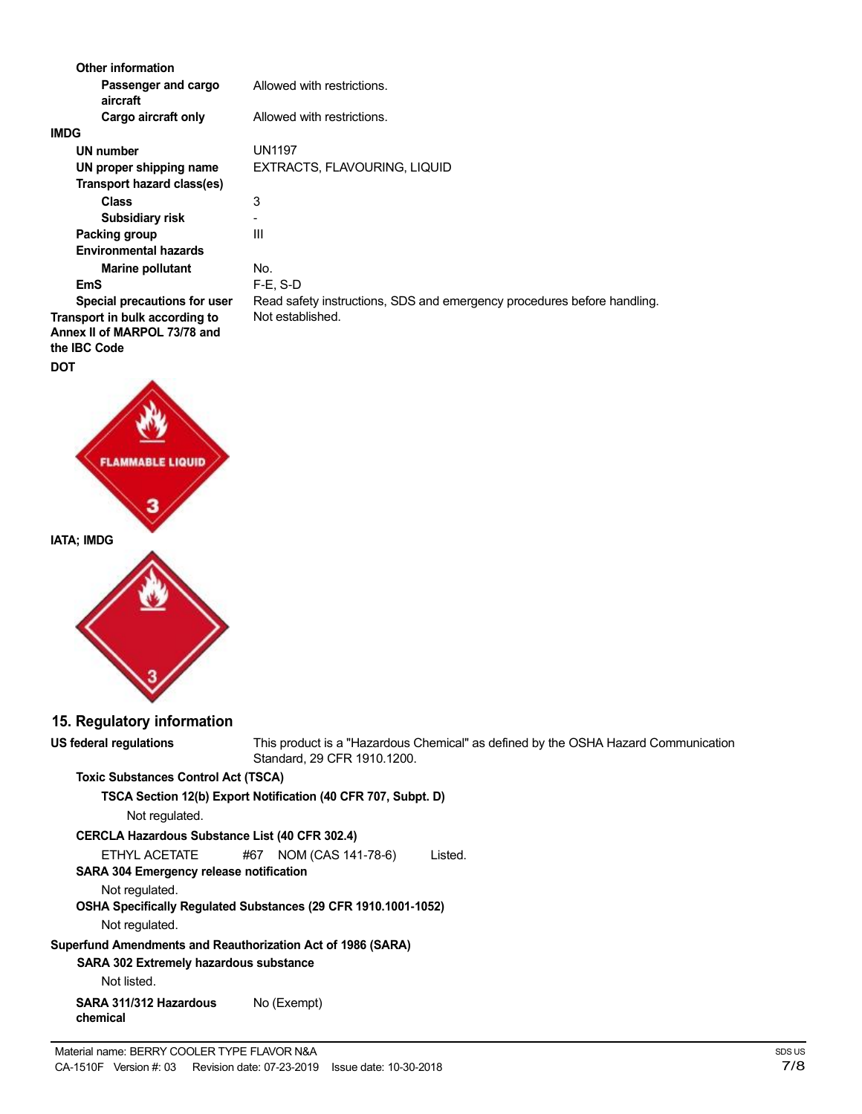| Other information               |                                                                                                       |
|---------------------------------|-------------------------------------------------------------------------------------------------------|
| Passenger and cargo<br>aircraft | Allowed with restrictions.                                                                            |
| Cargo aircraft only             | Allowed with restrictions.                                                                            |
| <b>IMDG</b>                     |                                                                                                       |
| <b>UN number</b>                | <b>UN1197</b>                                                                                         |
| UN proper shipping name         | EXTRACTS, FLAVOURING, LIQUID                                                                          |
| Transport hazard class(es)      |                                                                                                       |
| <b>Class</b>                    | 3                                                                                                     |
| <b>Subsidiary risk</b>          | ÷.                                                                                                    |
| Packing group                   | III                                                                                                   |
| <b>Environmental hazards</b>    |                                                                                                       |
| <b>Marine pollutant</b>         | No.                                                                                                   |
| <b>EmS</b>                      | $F-E$ , S-D                                                                                           |
| Special precautions for user    | Read safety instructions, SDS and emergency procedures before handling.                               |
| Transport in bulk according to  | Not established.                                                                                      |
| Annex II of MARPOL 73/78 and    |                                                                                                       |
| the IBC Code                    |                                                                                                       |
| <b>DOT</b>                      |                                                                                                       |
| <b>FLAMMABLE LIQUID</b>         |                                                                                                       |
| <b>IATA; IMDG</b>               |                                                                                                       |
|                                 |                                                                                                       |
| 15. Regulatory information      |                                                                                                       |
| <b>US federal regulations</b>   | This product is a "Hazardous Chemical" as defined by the OSHA Hazard C<br>Standard, 29 CFR 1910.1200. |

**zard Communication** 

### **Toxic Substances Control Act (TSCA)**

**TSCA Section 12(b) Export Notification (40 CFR 707, Subpt. D)**

Not regulated.

| <b>CERCLA Hazardous Substance List (40 CFR 302.4)</b> |     |                    |         |  |  |
|-------------------------------------------------------|-----|--------------------|---------|--|--|
| ETHYL ACETATE                                         | #67 | NOM (CAS 141-78-6) | Listed. |  |  |

**SARA 304 Emergency release notification**

Not regulated.

**OSHA Specifically Regulated Substances (29 CFR 1910.1001-1052)**

Not regulated.

**Superfund Amendments and Reauthorization Act of 1986 (SARA)**

**SARA 302 Extremely hazardous substance**

Not listed.

**SARA 311/312 Hazardous chemical** No (Exempt)